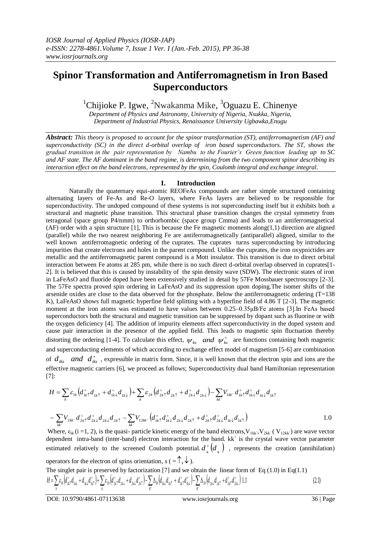## **Spinor Transformation and Antiferromagnetism in Iron Based Superconductors**

 ${}^{1}$ Chijioke P. Igwe,  ${}^{2}$ Nwakanma Mike,  ${}^{3}$ Oguazu E. Chinenye

*Department of Physics and Astronomy, University of Nigeria, Nsukka, Nigeria, Department of Industrial Physics, Renaissance University Ugbawka,Enugu*

*Abstract: This theory is proposed to account for the spinor transformation (ST), antiferromagnetism (AF) and superconductivity (SC) in the direct d-orbital overlap of iron based superconductors. The ST, shows the gradual transition in the pair representation by Nambu to the Fourier's Green function leading up to SC and AF state. The AF dominant in the band regime, is determining from the two component spinor describing its interaction effect on the band electrons, represented by the spin, Coulomb integral and exchange integral.*

## **I. Introduction**

Naturally the quaternary equi-atomic REOFeAs compounds are rather simple structured containing alternating layers of Fe-As and Re-O layers, where FeAs layers are believed to be responsible for superconductivity. The undoped compound of these systems is not superconducting itself but it exhibits both a structural and magnetic phase transition. This structural phase transition changes the crystal symmetry from tetragonal (space group P4/nmm) to orthorhombic (space group Cmma) and leads to an antiferromagnetical (AF) order with a spin structure [1], This is because the Fe magnetic moments along $(1,1)$  direction are aligned (parallel) while the two nearest neighboring Fe are antiferromagnetically (antiparallel) aligned, similar to the well known antiferromagnetic ordering of the cuprates. The cuprates turns superconducting by introducing impurities that create electrons and holes in the parent compound. Unlike the cuprates, the iron oxypnictides are metallic and the antiferromagnetic parent compound is a Mott insulator. This transition is due to direct orbital interaction between Fe atoms at 285 pm, while there is no such direct d-orbital overlap observed in cuprates[1- 2]. It is believed that this is caused by instability of the spin density wave (SDW). The electronic states of iron in LaFeAsO and fluoride doped have been extensively studied in detail by 57Fe Mossbauer spectroscopy [2-3]. The 57Fe spectra proved spin ordering in LaFeAsO and its suppression upon doping.The isomer shifts of the arsenide oxides are close to the data observed for the phosphate. Below the antiferromagnetic ordering (T=138 K), LaFeAsO shows full magnetic hyperfine field splitting with a hyperfine field of 4.86 T [2-3]. The magnetic moment at the iron atoms was estimated to have values between 0.25–0.35μB/Fe atoms [3]. In FeAs based superconductors both the structural and magnetic transition can be suppressed by dopant such as fluorine or with the oxygen deficiency [4]. The addition of impurity elements affect superconductivity in the doped system and cause pair interaction in the presence of the applied field. This leads to magnetic spin fluctuation thereby distorting the ordering [1-4]. To calculate this effect,  $\psi_{ks}$  *and*  $\psi_{ks}^+$  are functions containing both magnetic and superconducting elements of which according to exchange effect model of magnetism [5-6] are combination of  $d_{iks}$  and  $d_{iks}^+$ , expressible in matrix form. Since, it is well known that the electron spin and ions are the effective magnetic carriers [6], we proceed as follows; Superconductivity dual band Hamiltonian representation [7]:

$$
H = \sum_{k} \varepsilon_{1k} \left( d_{1k\uparrow}^+ d_{1k\downarrow}^+ + d_{1k\downarrow}^+ d_{1k\downarrow}^+ \right) + \sum_{k} \varepsilon_{2k} \left( d_{2k\uparrow}^+ d_{2k\uparrow}^+ + d_{2k\downarrow}^+ d_{2k\downarrow}^- \right) - \sum_{kk'} V_{1kk'} d_{1k\uparrow}^+ d_{1k\downarrow}^+ d_{1k\downarrow}^+ d_{1k\uparrow}^+ d_{1k\uparrow}^-
$$
  

$$
- \sum_{kk'} V_{2kk'} d_{2k\uparrow}^+ d_{2k\downarrow}^+ d_{2k\downarrow}^+ d_{2k\uparrow}^- - \sum_{kk'} V_{12kk'} \left( d_{1k\uparrow}^+ d_{1k\downarrow}^+ d_{2k\downarrow}^+ d_{2k\uparrow}^+ + d_{2k\uparrow}^+ d_{2k\downarrow}^+ d_{1k\downarrow}^+ d_{1k\uparrow}^- \right)
$$
 1.0

Where,  $\varepsilon_{ik}$  (i =1, 2), is the quasi- particle kinetic energy of the band electrons,  $V_{1kk}$ ,  $V_{2kk}$  ( $V_{12kk}$ ) are wave vector dependent intra-band (inter-band) electron interaction for the band. kk` is the crystal wave vector parameter estimated relatively to the screened Coulomb potential.  $d^*_{\mu}$   $\left(d_{\mu}\right)$ , represents the creation (annihilation)

operators for the electron of spins orientation,  $s (= \hat{\uparrow}, \hat{\downarrow})$ .

The singlet pair is preserved by factorization [7] and we obtain the linear form of Eq (1.0) in Eq(1.1)  
\n
$$
H = \sum_{k} \varepsilon_{lk} \left( d_{lk}^+ d_{lk} + d_{lk} d_{lk}^+ \right) + \sum_{k} \varepsilon_{2k} \left( d_{2k}^+ d_{2k} + d_{2k} d_{2k}^+ \right) - \sum_{k'} \Delta_{lk} \left( d_{lk} d_{lk} + d_{lk}^+ d_{lk}^+ \right) - \sum_{k'} \Delta_{2k} \left( d_{2k}^+ d_{2k} + d_{2k}^+ d_{2k}^+ \right) 1.1 \tag{2.1}
$$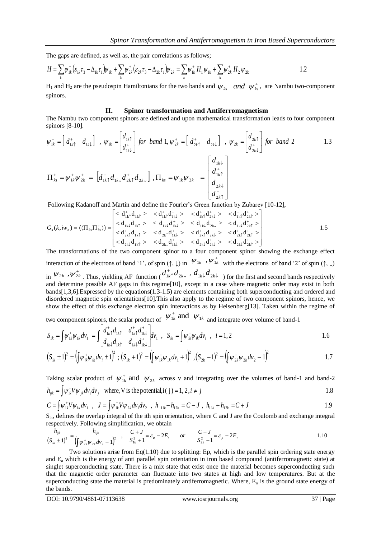The gaps are defined, as well as, the pair correlations as follows;

$$
H = \sum_{k} \psi_{1k}^{+} \left( \varepsilon_{1k} \tau_{3} - \Delta_{1k} \tau_{1} \right) \psi_{1k} + \sum_{k} \psi_{2k}^{+} \left( \varepsilon_{2k} \tau_{3} - \Delta_{2k} \tau_{1} \right) \psi_{2k} = \sum_{k} \psi_{1k}^{+} \overline{H}_{1} \psi_{1k} + \sum_{k} \psi_{2k}^{+} \overline{H}_{2} \psi_{2k}
$$

 $H_1$  and  $H_2$  are the pseudospin Hamiltonians for the two bands and  $\psi_{ks}$  *and*  $\psi_{ks}^+$ , are Nambu two-component spinors.

## **II. Spinor transformation and Antiferromagnetism**

The Nambu two component spinors are defined and upon mathematical transformation leads to four component spinors [8-10].

$$
\psi_{1k}^{+} = \begin{bmatrix} d_{1k\uparrow}^{+} & d_{1k\downarrow} \end{bmatrix}, \ \psi_{1k} = \begin{bmatrix} d_{1k\uparrow}^{+} \\ d_{1k\downarrow}^{+} \end{bmatrix} \text{ for band 1, } \psi_{2k}^{+} = \begin{bmatrix} d_{2k\uparrow}^{+} & d_{2k\downarrow} \end{bmatrix}, \ \psi_{2k} = \begin{bmatrix} d_{2k\uparrow}^{+} \\ d_{2k\downarrow}^{+} \end{bmatrix} \text{ for band 2} \qquad 1.3
$$
\n
$$
\Pi_{ks}^{+} = \psi_{1k}^{+} \psi_{2k}^{+} = \begin{bmatrix} d_{1k\downarrow}^{+} & d_{2k\downarrow}^{+} \\ d_{1k\uparrow}^{+} & d_{2k\downarrow}^{+} \end{bmatrix}, \ \Pi_{ks} = \psi_{1k} \psi_{2k}^{+} = \begin{bmatrix} d_{1k\downarrow}^{+} \\ d_{1k\uparrow}^{+} \\ d_{2k\downarrow}^{+} \\ d_{2k\uparrow}^{+} \end{bmatrix}
$$

Following Kadanoff and Martin and define the Fourier's Green function by Zubarev [10-12],  
\n
$$
G_s(k, iw_n) = \langle \langle \Pi_{ks} \Pi_{ks}^* \rangle \rangle = \begin{bmatrix} <\mathbf{d}_{1k1}^+ \mathbf{d}_{1k1}^+ > & <\mathbf{d}_{1k1}^+ \mathbf{d}_{1k1}^+ > & <\mathbf{d}_{1k1}^+ \mathbf{d}_{2k1}^+ > & <\mathbf{d}_{1k1}^+ \mathbf{d}_{2k1}^+ > \\ <\mathbf{d}_{1k1} \mathbf{d}_{1k1}^+ > & <\mathbf{d}_{1k1} \mathbf{d}_{1k1}^+ > & <\mathbf{d}_{1k1} \mathbf{d}_{2k1}^+ > & <\mathbf{d}_{1k1} \mathbf{d}_{2k1}^+ > \\ <\mathbf{d}_{2k1}^+ \mathbf{d}_{1k1}^+ > & <\mathbf{d}_{2k1}^+ \mathbf{d}_{1k1}^+ > & <\mathbf{d}_{2k1}^+ \mathbf{d}_{2k1}^+ > & <\mathbf{d}_{2k1}^+ \mathbf{d}_{2k1}^+ > \\ <\mathbf{d}_{2k1} \mathbf{d}_{1k1}^+ > & <\mathbf{d}_{2k1} \mathbf{d}_{1k1}^+ > & <\mathbf{d}_{2k1} \mathbf{d}_{2k1}^+ > & <\mathbf{d}_{2k1} \mathbf{d}_{2k1}^+ > \end{bmatrix}
$$
1.5  
\nThe transformations of the two component spinor to a four component spinor showing the exchange effect

interaction of the electrons of band '1', of spin  $(\uparrow, \downarrow)$  in  $\forall \mu \rightarrow \forall \mu^+$  with the electrons of band '2' of spin  $(\uparrow, \downarrow)$ in  $\psi_{2k}$ ,  $\psi_{2k}^{+}$ . Thus, yielding AF function ( $d_{1k}^{+}d_{2k}^{+}$  $^{+}$  $d_{1k}^+ d_{2k}$ ,  $d_{1k}^+ d_{2k}$  ) for the first and second bands respectively and determine possible AF gaps in this regime[10], except in a case where magnetic order may exist in both bands[1,3,6].Expressed by the equations(1.3-1.5) are elements containing both superconducting and ordered and disordered magnetic spin orientations[10].This also apply to the regime of two component spinors, hence, we show the effect of this exchange electron spin interactions as by Heisenberg[13]. Taken within the regime of

two component spinors, the scalar product of  $\Psi_{1k}^{+}$  and  $\Psi_{1k}$ and integrate over volume of band-1

$$
S_{1k} = \int \psi_{1k}^{+} \psi_{1k} dv_{1} = \int \begin{bmatrix} d_{1k}^{+} d_{1k}^{+} & d_{1k}^{+} d_{1k}^{+} \\ d_{1k}^{+} d_{1k}^{+} & d_{1k}^{+} d_{1k}^{+} \end{bmatrix} dv_{1} , S_{ik} = \int \psi_{ik}^{+} \psi_{ik} dv_{i} , i = 1, 2
$$

$$
(S_{ik} \pm 1)^2 = \left(\int \psi_{ik}^+ \psi_{ik} \, dv_i \pm 1\right)^2 \, ; \, (S_{1k} \pm 1)^2 = \left(\int \psi_{1k}^+ \psi_{1k} \, dv_1 + 1\right)^2 \, , \, (S_{2k} \pm 1)^2 = \left(\int \psi_{2k}^+ \psi_{2k} \, dv_2 - 1\right)^2 \tag{1.7}
$$

Taking scalar product of  $\psi_{1k}^+$  and  $\psi_{2k}^-$  across v and integrating over the volumes of band-1 and band-2

$$
h_{ijk} = \int \psi_{ik}^+ V \psi_{jk} \, dv_i \, dv_j \quad \text{where, V is the potential, i (j) = 1, 2, i \neq j \tag{1.8}
$$

$$
h_{ijk} = \int \psi_{ik}^+ V \psi_{jk} dv_i dv_j \text{ where, V is the potential, i (j) = 1, 2, i \neq j
$$
  
\n
$$
C = \int \psi_{ik}^+ V \psi_{ik} dv_1 , J = \int \psi_{ik}^+ V \psi_{2k} dv_1 dv_2 , h_{11k} - h_{12k} = C - J , h_{11k} + h_{12k} = C + J
$$
  
\n1.9

Sik, defines the overlap integral of the ith spin orientation, where C and J are the Coulomb and exchange integral respectively. Following simplification, we obtain

$$
\frac{h_{ijk}}{(S_{ik} \pm 1)^2} = \frac{h_{ijk}}{\left(\int \psi_{2k}^+ \psi_{2k} \, d\nu_2 - 1\right)^2} \quad , \quad \frac{C + J}{S_{ik}^2 + 1} = \varepsilon_a - 2E, \qquad or \qquad \frac{C - J}{S_{2k}^2 - 1} = \varepsilon_p - 2E, \tag{1.10}
$$

Two solutions arise from  $Eq(1.10)$  due to splitting: Ep, which is the parallel spin ordering state energy and  $E_a$  which is the energy of anti-parallel spin orientation in iron based compound (antiferromagnetic state) at singlet superconducting state. There is a mix state that exist once the material becomes superconducting such that the magnetic order parameter can fluctuate into two states at high and low temperatures. But at the superconducting state the material is predominately antiferromagnetic. Where,  $E_0$  is the ground state energy of the bands.